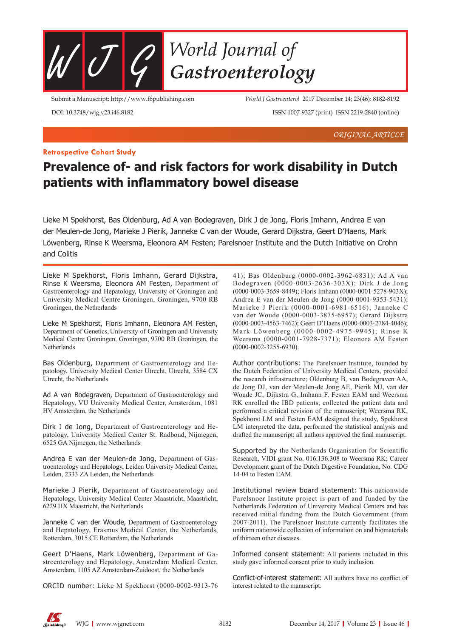

Submit a Manuscript: http://www.f6publishing.com

*World J Gastroenterol* 2017 December 14; 23(46): 8182-8192

DOI: 10.3748/wjg.v23.i46.8182

ISSN 1007-9327 (print) ISSN 2219-2840 (online)

*ORIGINAL ARTICLE*

## **Retrospective Cohort Study**

# **Prevalence of- and risk factors for work disability in Dutch patients with inflammatory bowel disease**

Lieke M Spekhorst, Bas Oldenburg, Ad A van Bodegraven, Dirk J de Jong, Floris Imhann, Andrea E van der Meulen-de Jong, Marieke J Pierik, Janneke C van der Woude, Gerard Dijkstra, Geert D'Haens, Mark Löwenberg, Rinse K Weersma, Eleonora AM Festen; Parelsnoer Institute and the Dutch Initiative on Crohn and Colitis

Lieke M Spekhorst, Floris Imhann, Gerard Dijkstra, Rinse K Weersma, Eleonora AM Festen, Department of Gastroenterology and Hepatology, University of Groningen and University Medical Centre Groningen, Groningen, 9700 RB Groningen, the Netherlands

Lieke M Spekhorst, Floris Imhann, Eleonora AM Festen, Department of Genetics, University of Groningen and University Medical Centre Groningen, Groningen, 9700 RB Groningen, the **Netherlands** 

Bas Oldenburg, Department of Gastroenterology and Hepatology, University Medical Center Utrecht, Utrecht, 3584 CX Utrecht, the Netherlands

Ad A van Bodegraven, Department of Gastroenterology and Hepatology, VU University Medical Center, Amsterdam, 1081 HV Amsterdam, the Netherlands

Dirk J de Jong, Department of Gastroenterology and Hepatology, University Medical Center St. Radboud, Nijmegen, 6525 GA Nijmegen, the Netherlands

Andrea E van der Meulen-de Jong, Department of Gastroenterology and Hepatology, Leiden University Medical Center, Leiden, 2333 ZA Leiden, the Netherlands

Marieke J Pierik, Department of Gastroenterology and Hepatology, University Medical Center Maastricht, Maastricht, 6229 HX Maastricht, the Netherlands

Janneke C van der Woude, Department of Gastroenterology and Hepatology, Erasmus Medical Center, the Netherlands, Rotterdam, 3015 CE Rotterdam, the Netherlands

Geert D'Haens, Mark Löwenberg, Department of Gastroenterology and Hepatology, Amsterdam Medical Center, Amsterdam, 1105 AZ Amsterdam-Zuidoost, the Netherlands

ORCID number: Lieke M Spekhorst (0000-0002-9313-76

41); Bas Oldenburg (0000-0002-3962-6831); Ad A van Bodegraven (0000-0003-2636-303X); Dirk J de Jong (0000-0003-3659-8449); Floris Imhann (0000-0001-5278-903X); Andrea E van der Meulen-de Jong (0000-0001-9353-5431); Marieke J Pierik (0000-0001-6981-6516); Janneke C van der Woude (0000-0003-3875-6957); Gerard Dijkstra (0000-0003-4563-7462); Geert D'Haens (0000-0003-2784-4046); Mark Löwenberg (0000-0002-4975-9945); Rinse K Weersma (0000-0001-7928-7371); Eleonora AM Festen (0000-0002-3255-6930).

Author contributions: The Parelsnoer Institute, founded by the Dutch Federation of University Medical Centers, provided the research infrastructure; Oldenburg B, van Bodegraven AA, de Jong DJ, van der Meulen-de Jong AE, Pierik MJ, van der Woude JC, Dijkstra G, Imhann F, Festen EAM and Weersma RK enrolled the IBD patients, collected the patient data and performed a critical revision of the manuscript; Weersma RK, Spekhorst LM and Festen EAM designed the study, Spekhorst LM interpreted the data, performed the statistical analysis and drafted the manuscript; all authors approved the final manuscript.

Supported by the Netherlands Organisation for Scientific Research, VIDI grant No. 016.136.308 to Weersma RK; Career Development grant of the Dutch Digestive Foundation, No. CDG 14-04 to Festen EAM.

Institutional review board statement: This nationwide Parelsnoer Institute project is part of and funded by the Netherlands Federation of University Medical Centers and has received initial funding from the Dutch Government (from 2007-2011). The Parelsnoer Institute currently facilitates the uniform nationwide collection of information on and biomaterials of thirteen other diseases.

Informed consent statement: All patients included in this study gave informed consent prior to study inclusion.

Conflict-of-interest statement: All authors have no conflict of interest related to the manuscript.

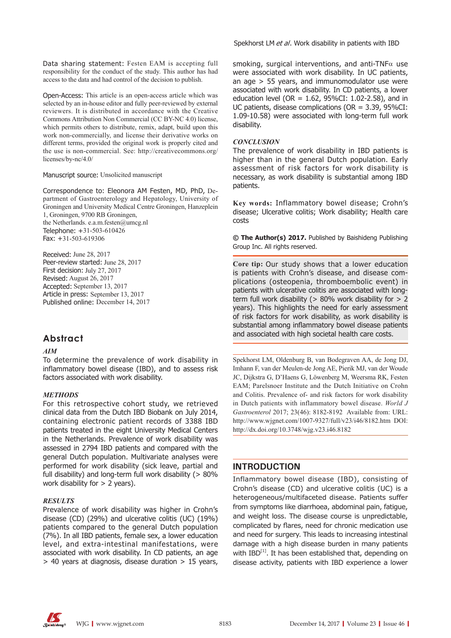Data sharing statement: Festen EAM is accepting full responsibility for the conduct of the study. This author has had access to the data and had control of the decision to publish.

Open-Access: This article is an open-access article which was selected by an in-house editor and fully peer-reviewed by external reviewers. It is distributed in accordance with the Creative Commons Attribution Non Commercial (CC BY-NC 4.0) license, which permits others to distribute, remix, adapt, build upon this work non-commercially, and license their derivative works on different terms, provided the original work is properly cited and the use is non-commercial. See: http://creativecommons.org/ licenses/by-nc/4.0/

### Manuscript source: Unsolicited manuscript

Correspondence to: Eleonora AM Festen, MD, PhD, Department of Gastroenterology and Hepatology, University of Groningen and University Medical Centre Groningen, Hanzeplein 1, Groningen, 9700 RB Groningen, the Netherlands. e.a.m.festen@umcg.nl Telephone: +31-503-610426 Fax: +31-503-619306

Received: June 28, 2017 Peer-review started: June 28, 2017 First decision: July 27, 2017 Revised: August 26, 2017 Accepted: September 13, 2017 Article in press: September 13, 2017 Published online: December 14, 2017

### **Abstract**

### *AIM*

To determine the prevalence of work disability in inflammatory bowel disease (IBD), and to assess risk factors associated with work disability.

### *METHODS*

For this retrospective cohort study, we retrieved clinical data from the Dutch IBD Biobank on July 2014, containing electronic patient records of 3388 IBD patients treated in the eight University Medical Centers in the Netherlands. Prevalence of work disability was assessed in 2794 IBD patients and compared with the general Dutch population. Multivariate analyses were performed for work disability (sick leave, partial and full disability) and long-term full work disability (> 80% work disability for  $> 2$  years).

### *RESULTS*

Prevalence of work disability was higher in Crohn's disease (CD) (29%) and ulcerative colitis (UC) (19%) patients compared to the general Dutch population (7%). In all IBD patients, female sex, a lower education level, and extra-intestinal manifestations, were associated with work disability. In CD patients, an age > 40 years at diagnosis, disease duration > 15 years,

Spekhorst LM et al. Work disability in patients with IBD

smoking, surgical interventions, and anti-TNF $\alpha$  use were associated with work disability. In UC patients, an age > 55 years, and immunomodulator use were associated with work disability. In CD patients, a lower education level (OR =  $1.62$ , 95%CI:  $1.02$ -2.58), and in UC patients, disease complications (OR = 3.39, 95%CI: 1.09-10.58) were associated with long-term full work disability.

### *CONCLUSION*

The prevalence of work disability in IBD patients is higher than in the general Dutch population. Early assessment of risk factors for work disability is necessary, as work disability is substantial among IBD patients.

**Key words:** Inflammatory bowel disease; Crohn's disease; Ulcerative colitis; Work disability; Health care costs

**© The Author(s) 2017.** Published by Baishideng Publishing Group Inc. All rights reserved.

**Core tip:** Our study shows that a lower education is patients with Crohn's disease, and disease complications (osteopenia, thromboembolic event) in patients with ulcerative colitis are associated with longterm full work disability ( $> 80\%$  work disability for  $> 2$ years). This highlights the need for early assessment of risk factors for work disability, as work disability is substantial among inflammatory bowel disease patients and associated with high societal health care costs.

Spekhorst LM, Oldenburg B, van Bodegraven AA, de Jong DJ, Imhann F, van der Meulen-de Jong AE, Pierik MJ, van der Woude JC, Dijkstra G, D'Haens G, Löwenberg M, Weersma RK, Festen EAM; Parelsnoer Institute and the Dutch Initiative on Crohn and Colitis. Prevalence of- and risk factors for work disability in Dutch patients with inflammatory bowel disease. *World J Gastroenterol* 2017; 23(46): 8182-8192 Available from: URL: http://www.wjgnet.com/1007-9327/full/v23/i46/8182.htm DOI: http://dx.doi.org/10.3748/wjg.v23.i46.8182

### **INTRODUCTION**

Inflammatory bowel disease (IBD), consisting of Crohn's disease (CD) and ulcerative colitis (UC) is a heterogeneous/multifaceted disease. Patients suffer from symptoms like diarrhoea, abdominal pain, fatigue, and weight loss. The disease course is unpredictable, complicated by flares, need for chronic medication use and need for surgery. This leads to increasing intestinal damage with a high disease burden in many patients with  $IBD<sup>[1]</sup>$ . It has been established that, depending on disease activity, patients with IBD experience a lower

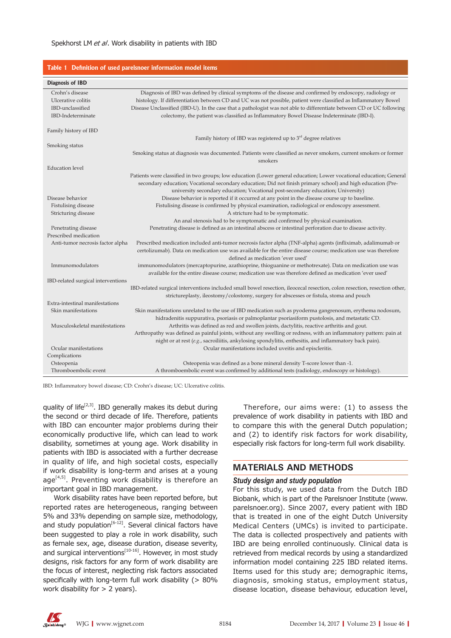|                                                                                | Table 1 Definition of used parelsnoer information model items                                                                                                                                                                                                                                                                                                                                                                                       |
|--------------------------------------------------------------------------------|-----------------------------------------------------------------------------------------------------------------------------------------------------------------------------------------------------------------------------------------------------------------------------------------------------------------------------------------------------------------------------------------------------------------------------------------------------|
| Diagnosis of IBD                                                               |                                                                                                                                                                                                                                                                                                                                                                                                                                                     |
| Crohn's disease<br>Ulcerative colitis<br>IBD-unclassified<br>IBD-Indeterminate | Diagnosis of IBD was defined by clinical symptoms of the disease and confirmed by endoscopy, radiology or<br>histology. If differentiation between CD and UC was not possible, patient were classified as Inflammatory Bowel<br>Disease Unclassified (IBD-U). In the case that a pathologist was not able to differentiate between CD or UC following<br>colectomy, the patient was classified as Inflammatory Bowel Disease Indeterminate (IBD-I). |
| Family history of IBD                                                          |                                                                                                                                                                                                                                                                                                                                                                                                                                                     |
| Smoking status                                                                 | Family history of IBD was registered up to $3rd$ degree relatives                                                                                                                                                                                                                                                                                                                                                                                   |
|                                                                                | Smoking status at diagnosis was documented. Patients were classified as never smokers, current smokers or former<br>smokers                                                                                                                                                                                                                                                                                                                         |
| <b>Education</b> level                                                         |                                                                                                                                                                                                                                                                                                                                                                                                                                                     |
|                                                                                | Patients were classified in two groups; low education (Lower general education; Lower vocational education; General<br>secondary education; Vocational secondary education; Did not finish primary school) and high education (Pre-<br>university secondary education; Vocational post-secondary education; University)                                                                                                                             |
| Disease behavior                                                               | Disease behavior is reported if it occurred at any point in the disease course up to baseline.                                                                                                                                                                                                                                                                                                                                                      |
| Fistulising disease<br>Stricturing disease                                     | Fistulising disease is confirmed by physical examination, radiological or endoscopy assessment.<br>A stricture had to be symptomatic.                                                                                                                                                                                                                                                                                                               |
|                                                                                | An anal stenosis had to be symptomatic and confirmed by physical examination.                                                                                                                                                                                                                                                                                                                                                                       |
| Penetrating disease<br>Prescribed medication                                   | Penetrating disease is defined as an intestinal abscess or intestinal perforation due to disease activity.                                                                                                                                                                                                                                                                                                                                          |
| Anti-tumor necrosis factor alpha                                               | Prescribed medication included anti-tumor necrosis factor alpha (TNF-alpha) agents (infliximab, adalimumab or                                                                                                                                                                                                                                                                                                                                       |
|                                                                                | certolizumab). Data on medication use was available for the entire disease course; medication use was therefore                                                                                                                                                                                                                                                                                                                                     |
| Immunomodulators                                                               | defined as medication 'ever used'                                                                                                                                                                                                                                                                                                                                                                                                                   |
|                                                                                | immunomodulators (mercaptopurine, azathioprine, thioguanine or methotrexate). Data on medication use was<br>available for the entire disease course; medication use was therefore defined as medication 'ever used'                                                                                                                                                                                                                                 |
| IBD-related surgical interventions                                             |                                                                                                                                                                                                                                                                                                                                                                                                                                                     |
|                                                                                | IBD-related surgical interventions included small bowel resection, ileocecal resection, colon resection, resection other,                                                                                                                                                                                                                                                                                                                           |
|                                                                                | strictureplasty, ileostomy/colostomy, surgery for abscesses or fistula, stoma and pouch                                                                                                                                                                                                                                                                                                                                                             |
| Extra-intestinal manifestations                                                |                                                                                                                                                                                                                                                                                                                                                                                                                                                     |
| Skin manifestations                                                            | Skin manifestations unrelated to the use of IBD medication such as pyoderma gangrenosum, erythema nodosum,                                                                                                                                                                                                                                                                                                                                          |
| Musculoskeletal manifestations                                                 | hidradenitis suppurativa, psoriasis or palmoplantar psoriasiform pustolosis, and metastatic CD.<br>Arthritis was defined as red and swollen joints, dactylitis, reactive arthritis and gout.                                                                                                                                                                                                                                                        |
|                                                                                | Arthropathy was defined as painful joints, without any swelling or redness, with an inflammatory pattern: pain at                                                                                                                                                                                                                                                                                                                                   |
|                                                                                | night or at rest $(e.g.,$ sacroiliitis, ankylosing spondylitis, enthesitis, and inflammatory back pain).                                                                                                                                                                                                                                                                                                                                            |
| Ocular manifestations                                                          | Ocular manifestations included uveitis and episcleritis.                                                                                                                                                                                                                                                                                                                                                                                            |
| Complications                                                                  |                                                                                                                                                                                                                                                                                                                                                                                                                                                     |
| Osteopenia                                                                     | Osteopenia was defined as a bone mineral density T-score lower than -1.                                                                                                                                                                                                                                                                                                                                                                             |
| Thromboembolic event                                                           | A thromboembolic event was confirmed by additional tests (radiology, endoscopy or histology).                                                                                                                                                                                                                                                                                                                                                       |

IBD: Inflammatory bowel disease; CD: Crohn's disease; UC: Ulcerative colitis.

quality of life<sup>[2,3]</sup>. IBD generally makes its debut during the second or third decade of life. Therefore, patients with IBD can encounter major problems during their economically productive life, which can lead to work disability, sometimes at young age. Work disability in patients with IBD is associated with a further decrease in quality of life, and high societal costs, especially if work disability is long-term and arises at a young age<sup>[4,5]</sup>. Preventing work disability is therefore an important goal in IBD management.

Work disability rates have been reported before, but reported rates are heterogeneous, ranging between 5% and 33% depending on sample size, methodology, and study population<sup>[6-12]</sup>. Several clinical factors have been suggested to play a role in work disability, such as female sex, age, disease duration, disease severity, and surgical interventions<sup>[10-16]</sup>. However, in most study designs, risk factors for any form of work disability are the focus of interest, neglecting risk factors associated specifically with long-term full work disability (> 80% work disability for > 2 years).

Therefore, our aims were: (1) to assess the prevalence of work disability in patients with IBD and to compare this with the general Dutch population; and (2) to identify risk factors for work disability, especially risk factors for long-term full work disability.

### **MATERIALS AND METHODS**

#### *Study design and study population*

For this study, we used data from the Dutch IBD Biobank, which is part of the Parelsnoer Institute (www. parelsnoer.org). Since 2007, every patient with IBD that is treated in one of the eight Dutch University Medical Centers (UMCs) is invited to participate. The data is collected prospectively and patients with IBD are being enrolled continuously. Clinical data is retrieved from medical records by using a standardized information model containing 225 IBD related items. Items used for this study are; demographic items, diagnosis, smoking status, employment status, disease location, disease behaviour, education level,

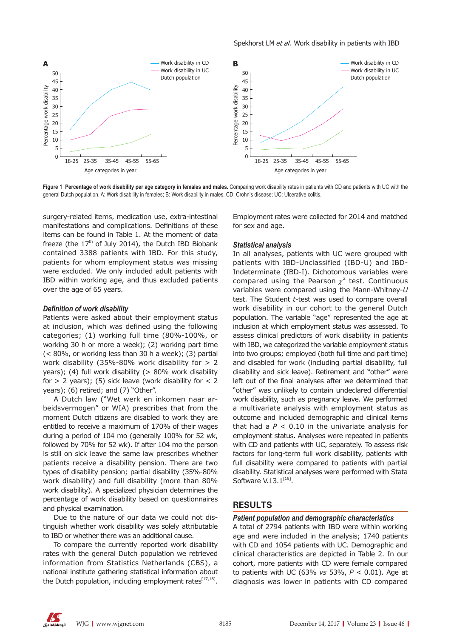

**Figure 1 Percentage of work disability per age category in females and males.** Comparing work disability rates in patients with CD and patients with UC with the general Dutch population. A: Work disability in females; B: Work disability in males. CD: Crohn's disease; UC: Ulcerative colitis.

surgery-related items, medication use, extra-intestinal manifestations and complications. Definitions of these items can be found in Table 1. At the moment of data freeze (the  $17<sup>th</sup>$  of July 2014), the Dutch IBD Biobank contained 3388 patients with IBD. For this study, patients for whom employment status was missing were excluded. We only included adult patients with IBD within working age, and thus excluded patients over the age of 65 years.

#### *Definition of work disability*

Patients were asked about their employment status at inclusion, which was defined using the following categories; (1) working full time (80%-100%, or working 30 h or more a week); (2) working part time (< 80%, or working less than 30 h a week); (3) partial work disability (35%-80% work disability for > 2 years); (4) full work disability (> 80% work disability for  $> 2$  years); (5) sick leave (work disability for  $< 2$ years); (6) retired; and (7) "Other".

A Dutch law ("Wet werk en inkomen naar arbeidsvermogen" or WIA) prescribes that from the moment Dutch citizens are disabled to work they are entitled to receive a maximum of 170% of their wages during a period of 104 mo (generally 100% for 52 wk, followed by 70% for 52 wk). If after 104 mo the person is still on sick leave the same law prescribes whether patients receive a disability pension. There are two types of disability pension; partial disability (35%-80% work disability) and full disability (more than 80% work disability). A specialized physician determines the percentage of work disability based on questionnaires and physical examination.

Due to the nature of our data we could not distinguish whether work disability was solely attributable to IBD or whether there was an additional cause.

To compare the currently reported work disability rates with the general Dutch population we retrieved information from Statistics Netherlands (CBS), a national institute gathering statistical information about the Dutch population, including employment rates $[17,18]$ .

Employment rates were collected for 2014 and matched for sex and age.

### *Statistical analysis*

In all analyses, patients with UC were grouped with patients with IBD-Unclassified (IBD-U) and IBD-Indeterminate (IBD-I). Dichotomous variables were compared using the Pearson  $\chi^2$  test. Continuous variables were compared using the Mann-Whitney-*U* test. The Student *t*-test was used to compare overall work disability in our cohort to the general Dutch population. The variable "age" represented the age at inclusion at which employment status was assessed. To assess clinical predictors of work disability in patients with IBD, we categorized the variable employment status into two groups; employed (both full time and part time) and disabled for work (including partial disability, full disability and sick leave). Retirement and "other" were left out of the final analyses after we determined that "other" was unlikely to contain undeclared differential work disability, such as pregnancy leave. We performed a multivariate analysis with employment status as outcome and included demographic and clinical items that had a  $P < 0.10$  in the univariate analysis for employment status. Analyses were repeated in patients with CD and patients with UC, separately. To assess risk factors for long-term full work disability, patients with full disability were compared to patients with partial disability. Statistical analyses were performed with Stata Software  $V.13.1^{[19]}$ .

### **RESULTS**

### *Patient population and demographic characteristics*

A total of 2794 patients with IBD were within working age and were included in the analysis; 1740 patients with CD and 1054 patients with UC. Demographic and clinical characteristics are depicted in Table 2. In our cohort, more patients with CD were female compared to patients with UC (63% *vs* 53%, *P <* 0.01). Age at diagnosis was lower in patients with CD compared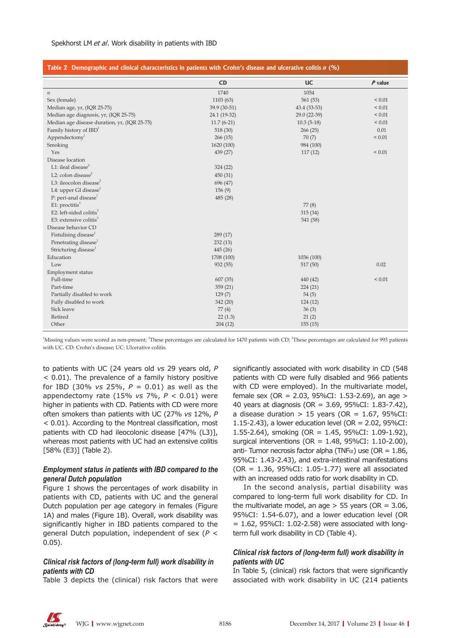| Table 2 Demographic and clinical characteristics in patients with Crohn's disease and ulcerative colitis n (%) |              |              |             |
|----------------------------------------------------------------------------------------------------------------|--------------|--------------|-------------|
|                                                                                                                | <b>CD</b>    | <b>UC</b>    | $P$ value   |
| $\boldsymbol{n}$                                                                                               | 1740         | 1054         |             |
| Sex (female)                                                                                                   | 1103 (63)    | 561(53)      | ${}_{0.01}$ |
| Median age, yr, (IQR 25-75)                                                                                    | 39.9 (30-51) | 43.4 (33-53) | ${}_{0.01}$ |
| Median age diagnosis, yr, (IQR 25-75)                                                                          | 24.1 (19-32) | 29.0 (22-39) | ${}_{0.01}$ |
| Median age disease duration, yr, (IQR 25-75)                                                                   | $11.7(6-21)$ | $10.3(5-18)$ | ${}_{0.01}$ |
| Family history of $IBD1$                                                                                       | 518 (30)     | 266(25)      | 0.01        |
| Appendectomy <sup>1</sup>                                                                                      | 266(15)      | 70(7)        | ${}< 0.01$  |
| Smoking                                                                                                        | 1620 (100)   | 984 (100)    |             |
| Yes                                                                                                            | 439 (27)     | 117(12)      | ${}< 0.01$  |
| Disease location                                                                                               |              |              |             |
| L1: ileal disease $2$                                                                                          | 324(22)      |              |             |
| L2: colon disease $2$                                                                                          | 450(31)      |              |             |
| L3: ileocolon disease <sup>2</sup>                                                                             | 696 (47)     |              |             |
| L4: upper GI disease <sup>1</sup>                                                                              | 156(9)       |              |             |
| P: peri-anal disease <sup>1</sup>                                                                              | 485 (28)     |              |             |
| E1: proctitis $3$                                                                                              |              | 77(8)        |             |
| E2: left-sided colitis $3$                                                                                     |              | 315 (34)     |             |
| E3: extensive colitis $3$                                                                                      |              | 541 (58)     |             |
| Disease behavior CD                                                                                            |              |              |             |
| Fistulising disease <sup>1</sup>                                                                               | 289 (17)     |              |             |
| Penetrating disease <sup>1</sup>                                                                               | 232(13)      |              |             |
| Stricturing disease <sup>1</sup>                                                                               | 445 (26)     |              |             |
| Education                                                                                                      | 1708 (100)   | 1036 (100)   |             |
| Low                                                                                                            | 932(55)      | 517(50)      | 0.02        |
| Employment status                                                                                              |              |              |             |
| Full-time                                                                                                      | 607(35)      | 440 (42)     | ${}_{0.01}$ |
| Part-time                                                                                                      | 359 (21)     | 224(21)      |             |
| Partially disabled to work                                                                                     | 129(7)       | 54(5)        |             |
| Fully disabled to work                                                                                         | 342 (20)     | 124(12)      |             |
| Sick leave                                                                                                     | 77(4)        | 36(3)        |             |
| Retired                                                                                                        | 22(1.3)      | 21(2)        |             |
| Other                                                                                                          | 204(12)      | 155(15)      |             |

<sup>1</sup>Missing values were scored as non-present; <sup>2</sup>These percentages are calculated for 1470 patients with CD; <sup>3</sup>These percentages are calculated for 993 patients with UC. CD: Crohn's disease; UC: Ulcerative colitis.

to patients with UC (24 years old *vs* 29 years old, *P <* 0.01). The prevalence of a family history positive for IBD (30% *vs* 25%, *P =* 0.01) as well as the appendectomy rate (15% *vs* 7%, *P <* 0.01) were higher in patients with CD. Patients with CD were more often smokers than patients with UC (27% *vs* 12%, *P <* 0.01). According to the Montreal classification, most patients with CD had ileocolonic disease [47% (L3)], whereas most patients with UC had an extensive colitis [58% (E3)] (Table 2).

### *Employment status in patients with IBD compared to the general Dutch population*

Figure 1 shows the percentages of work disability in patients with CD, patients with UC and the general Dutch population per age category in females (Figure 1A) and males (Figure 1B). Overall, work disability was significantly higher in IBD patients compared to the general Dutch population, independent of sex (*P <*  0.05).

### *Clinical risk factors of (long-term full) work disability in patients with CD*

Table 3 depicts the (clinical) risk factors that were

significantly associated with work disability in CD (548 patients with CD were fully disabled and 966 patients with CD were employed). In the multivariate model, female sex (OR = 2.03, 95%CI: 1.53-2.69), an age > 40 years at diagnosis (OR = 3.69, 95%CI: 1.83-7.42), a disease duration  $> 15$  years (OR = 1.67, 95%CI: 1.15-2.43), a lower education level (OR = 2.02, 95%CI: 1.55-2.64), smoking (OR = 1.45, 95%CI: 1.09-1.92), surgical interventions (OR = 1.48, 95%CI: 1.10-2.00), anti- Tumor necrosis factor alpha (TNF $\alpha$ ) use (OR = 1.86, 95%CI: 1.43-2.43), and extra-intestinal manifestations (OR = 1.36, 95%CI: 1.05-1.77) were all associated with an increased odds ratio for work disability in CD.

In the second analysis, partial disability was compared to long-term full work disability for CD. In the multivariate model, an age  $>$  55 years (OR = 3.06, 95%CI: 1.54-6.07), and a lower education level (OR  $= 1.62$ , 95%CI: 1.02-2.58) were associated with longterm full work disability in CD (Table 4).

### *Clinical risk factors of (long-term full) work disability in patients with UC*

In Table 5, (clinical) risk factors that were significantly associated with work disability in UC (214 patients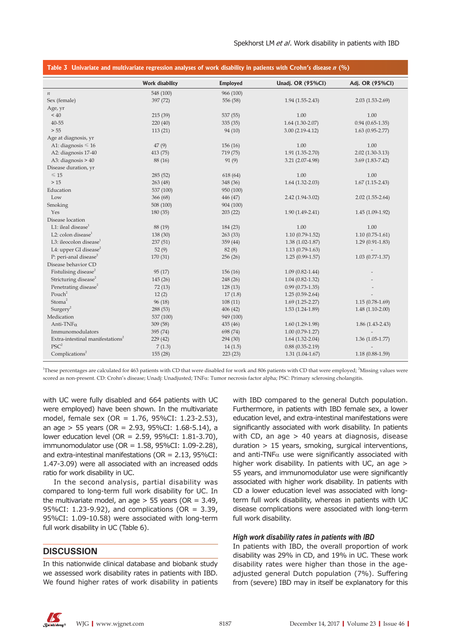|                                                 | Work disability       | <b>Employed</b>       | Unadj. OR (95%CI)    | Adj. OR (95%CI)     |
|-------------------------------------------------|-----------------------|-----------------------|----------------------|---------------------|
|                                                 |                       |                       |                      |                     |
| $\it n$<br>Sex (female)                         | 548 (100)<br>397 (72) | 966 (100)<br>556 (58) |                      |                     |
| Age, yr                                         |                       |                       | $1.94(1.55-2.43)$    | $2.03(1.53-2.69)$   |
| ~10                                             | 215 (39)              | 537 (55)              | 1.00                 | 1.00                |
| 40-55                                           | 220(40)               | 335(35)               | $1.64$ $(1.30-2.07)$ | $0.94(0.65-1.35)$   |
| > 55                                            | 113(21)               | 94(10)                | $3.00(2.19-4.12)$    | $1.63(0.95 - 2.77)$ |
|                                                 |                       |                       |                      |                     |
| Age at diagnosis, yr<br>A1: diagnosis $\leq 16$ | 47(9)                 | 156(16)               | 1.00                 | 1.00                |
| A2: diagnosis 17-40                             | 413(75)               | 719 (75)              | $1.91(1.35-2.70)$    | $2.02(1.30-3.13)$   |
|                                                 |                       |                       |                      |                     |
| A3: diagnosis $> 40$                            | 88 (16)               | 91(9)                 | $3.21(2.07-4.98)$    | $3.69(1.83 - 7.42)$ |
| Disease duration, yr                            |                       |                       |                      |                     |
| $\leq 15$                                       | 285(52)               | 618 (64)              | 1.00                 | 1.00                |
| >15                                             | 263(48)               | 348 (36)              | $1.64$ (1.32-2.03)   | $1.67(1.15-2.43)$   |
| Education                                       | 537 (100)             | 950 (100)             |                      |                     |
| Low                                             | 366 (68)              | 446 (47)              | $2.42(1.94-3.02)$    | $2.02(1.55-2.64)$   |
| Smoking                                         | 508 (100)             | 904 (100)             |                      |                     |
| Yes                                             | 180(35)               | 203(22)               | $1.90(1.49-2.41)$    | $1.45(1.09-1.92)$   |
| Disease location                                |                       |                       |                      |                     |
| L1: ileal disease $1$                           | 88 (19)               | 184 (23)              | 1.00                 | 1.00                |
| L2: colon disease $1$                           | 138 (30)              | 263(33)               | $1.10(0.79-1.52)$    | $1.10(0.75-1.61)$   |
| L3: ileocolon disease $^1$                      | 237(51)               | 359 (44)              | $1.38(1.02 - 1.87)$  | $1.29(0.91 - 1.83)$ |
| L4: upper GI disease <sup>2</sup>               | 52(9)                 | 82(8)                 | $1.13(0.79-1.63)$    |                     |
| P: peri-anal disease <sup>2</sup>               | 170(31)               | 256(26)               | $1.25(0.99-1.57)$    | $1.03(0.77-1.37)$   |
| Disease behavior CD                             |                       |                       |                      |                     |
| Fistulising disease <sup>2</sup>                | 95(17)                | 156(16)               | $1.09(0.82 - 1.44)$  |                     |
| Stricturing disease <sup>2</sup>                | 145(26)               | 248 (26)              | $1.04(0.82 - 1.32)$  |                     |
| Penetrating disease <sup>2</sup>                | 72(13)                | 128(13)               | $0.99(0.73-1.35)$    |                     |
| Pouch <sup>2</sup>                              | 12(2)                 | 17(1.8)               | $1.25(0.59-2.64)$    |                     |
| Stoma <sup>2</sup>                              | 96(18)                | 108(11)               | $1.69(1.25-2.27)$    | $1.15(0.78-1.69)$   |
| Surgery <sup>2</sup>                            | 288 (53)              | 406(42)               | $1.53(1.24-1.89)$    | $1.48(1.10-2.00)$   |
| Medication                                      | 537 (100)             | 949 (100)             |                      |                     |
| Anti-TNF $\alpha$                               | 309(58)               | 435(46)               | $1.60(1.29-1.98)$    | $1.86(1.43-2.43)$   |
| Immunomodulators                                | 395 (74)              | 698 (74)              | $1.00(0.79-1.27)$    |                     |
| Extra-intestinal manifestations <sup>2</sup>    | 229(42)               | 294 (30)              | $1.64(1.32-2.04)$    | $1.36(1.05-1.77)$   |
| $PSC^2$                                         | 7(1.3)                | 14(1.5)               | $0.88(0.35-2.19)$    |                     |
| Complications <sup>2</sup>                      | 155(28)               | 223(23)               | $1.31(1.04-1.67)$    | $1.18(0.88-1.59)$   |

<sup>1</sup>These percentages are calculated for 463 patients with CD that were disabled for work and 806 patients with CD that were employed; <sup>2</sup>Missing values were scored as non-present. CD: Crohn's disease; Unadj: Unadjusted; TNFa: Tumor necrosis factor alpha; PSC: Primary sclerosing cholangitis.

with UC were fully disabled and 664 patients with UC were employed) have been shown. In the multivariate model, female sex (OR = 1.76, 95%CI: 1.23-2.53), an age > 55 years (OR = 2.93, 95%CI: 1.68-5.14), a lower education level (OR = 2.59, 95%CI: 1.81-3.70), immunomodulator use (OR = 1.58, 95%CI: 1.09-2.28), and extra-intestinal manifestations ( $OR = 2.13$ ,  $95\%CI$ : 1.47-3.09) were all associated with an increased odds ratio for work disability in UC.

In the second analysis, partial disability was compared to long-term full work disability for UC. In the multivariate model, an age  $> 55$  years (OR = 3.49, 95%CI: 1.23-9.92), and complications (OR = 3.39, 95%CI: 1.09-10.58) were associated with long-term full work disability in UC (Table 6).

### **DISCUSSION**

In this nationwide clinical database and biobank study we assessed work disability rates in patients with IBD. We found higher rates of work disability in patients

with IBD compared to the general Dutch population. Furthermore, in patients with IBD female sex, a lower education level, and extra-intestinal manifestations were significantly associated with work disability. In patients with CD, an age > 40 years at diagnosis, disease duration > 15 years, smoking, surgical interventions, and anti-TNF $\alpha$  use were significantly associated with higher work disability. In patients with UC, an age > 55 years, and immunomodulator use were significantly associated with higher work disability. In patients with CD a lower education level was associated with longterm full work disability, whereas in patients with UC disease complications were associated with long-term full work disability.

### *High work disability rates in patients with IBD*

In patients with IBD, the overall proportion of work disability was 29% in CD, and 19% in UC. These work disability rates were higher than those in the ageadjusted general Dutch population (7%). Suffering from (severe) IBD may in itself be explanatory for this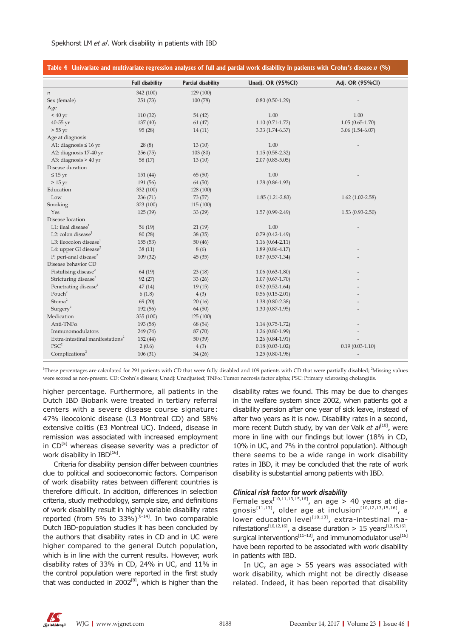|                                              |                        |                    | Table 4 Univariate and multivariate regression analyses of full and partial work disability in patients with Crohn's disease n (%) |                     |
|----------------------------------------------|------------------------|--------------------|------------------------------------------------------------------------------------------------------------------------------------|---------------------|
|                                              | <b>Full disability</b> | Partial disability | Unadj. OR (95%CI)                                                                                                                  | Adj. OR (95%CI)     |
| $\boldsymbol{n}$                             | 342 (100)              | 129 (100)          |                                                                                                                                    |                     |
| Sex (female)                                 | 251(73)                | 100(78)            | $0.80(0.50-1.29)$                                                                                                                  |                     |
| Age                                          |                        |                    |                                                                                                                                    |                     |
| < 40 yr                                      | 110(32)                | 54(42)             | 1.00                                                                                                                               | 1.00                |
| 40-55 yr                                     | 137(40)                | 61(47)             | $1.10(0.71 - 1.72)$                                                                                                                | $1.05(0.65-1.70)$   |
| $> 55 \,\mathrm{yr}$                         | 95(28)                 | 14(11)             | $3.33(1.74-6.37)$                                                                                                                  | $3.06(1.54-6.07)$   |
| Age at diagnosis                             |                        |                    |                                                                                                                                    |                     |
| A1: diagnosis $\leq 16$ yr                   | 28(8)                  | 13(10)             | 1.00                                                                                                                               |                     |
| A2: diagnosis 17-40 yr                       | 256 (75)               | 103 (80)           | $1.15(0.58 - 2.32)$                                                                                                                |                     |
| A3: diagnosis > 40 yr                        | 58 (17)                | 13(10)             | $2.07(0.85 - 5.05)$                                                                                                                |                     |
| Disease duration                             |                        |                    |                                                                                                                                    |                     |
| $\leq 15$ yr                                 | 151(44)                | 65(50)             | 1.00                                                                                                                               |                     |
| $>15$ yr                                     | 191 (56)               | 64(50)             | $1.28(0.86-1.93)$                                                                                                                  |                     |
| Education                                    | 332 (100)              | 128 (100)          |                                                                                                                                    |                     |
| Low                                          | 236(71)                | 73 (57)            | $1.85(1.21-2.83)$                                                                                                                  | $1.62$ (1.02-2.58)  |
| Smoking                                      | 323 (100)              | 115 (100)          |                                                                                                                                    |                     |
| Yes                                          | 125(39)                | 33(29)             | $1.57(0.99 - 2.49)$                                                                                                                | $1.53(0.93 - 2.50)$ |
| Disease location                             |                        |                    |                                                                                                                                    |                     |
| L1: ileal disease $1$                        | 56(19)                 | 21(19)             | 1.00                                                                                                                               |                     |
| L2: colon disease $1$                        | 80 (28)                | 38 (35)            | $0.79(0.42 - 1.49)$                                                                                                                |                     |
| L3: ileocolon disease $^1$                   | 155(53)                | 50(46)             | $1.16(0.64 - 2.11)$                                                                                                                |                     |
| L4: upper GI disease <sup>2</sup>            | 38(11)                 | 8 (6)              | $1.89(0.86 - 4.17)$                                                                                                                |                     |
| P: peri-anal disease <sup>2</sup>            | 109 (32)               | 45 (35)            | $0.87(0.57-1.34)$                                                                                                                  |                     |
| Disease behavior CD                          |                        |                    |                                                                                                                                    |                     |
| Fistulising disease <sup>2</sup>             | 64 (19)                | 23(18)             | $1.06(0.63-1.80)$                                                                                                                  |                     |
| Stricturing disease <sup>2</sup>             | 92(27)                 | 33(26)             | $1.07(0.67 - 1.70)$                                                                                                                |                     |
| Penetrating disease <sup>2</sup>             | 47(14)                 | 19(15)             | $0.92(0.52 - 1.64)$                                                                                                                |                     |
| Pouch <sup>2</sup>                           | 6(1.8)                 | 4(3)               | $0.56(0.15-2.01)$                                                                                                                  |                     |
| Stoma <sup>2</sup>                           | 69(20)                 | 20(16)             | $1.38(0.80 - 2.38)$                                                                                                                |                     |
| Surgery <sup>2</sup>                         | 192 (56)               | 64(50)             | $1.30(0.87-1.95)$                                                                                                                  |                     |
| Medication                                   | 335 (100)              | 125 (100)          |                                                                                                                                    |                     |
| Anti-TNF $\alpha$                            | 193 (58)               | 68 (54)            | $1.14(0.75-1.72)$                                                                                                                  |                     |
| Immunomodulators                             | 249 (74)               | 87 (70)            | $1.26(0.80-1.99)$                                                                                                                  |                     |
| Extra-intestinal manifestations <sup>2</sup> | 152 (44)               | 50(39)             | $1.26(0.84-1.91)$                                                                                                                  |                     |
| $PSC^2$                                      | 2(0.6)                 | 4(3)               | $0.18(0.03-1.02)$                                                                                                                  | $0.19(0.03-1.10)$   |
| Complications <sup>2</sup>                   | 106(31)                | 34(26)             | $1.25(0.80-1.98)$                                                                                                                  |                     |

<sup>1</sup>These percentages are calculated for 291 patients with CD that were fully disabled and 109 patients with CD that were partially disabled; <sup>2</sup>Missing values were scored as non-present. CD: Crohn's disease; Unadj: Unadjusted; TNFα: Tumor necrosis factor alpha; PSC: Primary sclerosing cholangitis.

higher percentage. Furthermore, all patients in the Dutch IBD Biobank were treated in tertiary referral centers with a severe disease course signature: 47% ileocolonic disease (L3 Montreal CD) and 58% extensive colitis (E3 Montreal UC). Indeed, disease in remission was associated with increased employment in  $CD^{[5]}$  whereas disease severity was a predictor of work disability in  $IBD^{[16]}$ .

Criteria for disability pension differ between countries due to political and socioeconomic factors. Comparison of work disability rates between different countries is therefore difficult. In addition, differences in selection criteria, study methodology, sample size, and definitions of work disability result in highly variable disability rates reported (from 5% to 33%)<sup>[6-14]</sup>. In two comparable Dutch IBD-population studies it has been concluded by the authors that disability rates in CD and in UC were higher compared to the general Dutch population, which is in line with the current results. However, work disability rates of 33% in CD, 24% in UC, and 11% in the control population were reported in the first study that was conducted in  $2002^{[8]}$ , which is higher than the disability rates we found. This may be due to changes in the welfare system since 2002, when patients got a disability pension after one year of sick leave, instead of after two years as it is now. Disability rates in a second, more recent Dutch study, by van der Valk *et al*<sup>[10]</sup>, were more in line with our findings but lower (18% in CD, 10% in UC, and 7% in the control population). Although there seems to be a wide range in work disability rates in IBD, it may be concluded that the rate of work disability is substantial among patients with IBD.

### *Clinical risk factor for work disability*

Female sex<sup>[10,11,13,15,16]</sup>, an age > 40 years at diaqnosis<sup>[11,13]</sup>, older age at inclusion<sup>[10,12,13,15,16]</sup>, a lower education level $\left[ {}^{(10,13)}_1 \right]$ , extra-intestinal manifestations<sup>[10,12,16]</sup>, a disease duration > 15 years<sup>[12,15,16]</sup> surgical interventions<sup>[11-13]</sup>, and immunomodulator use<sup>[16]</sup> have been reported to be associated with work disability in patients with IBD.

In UC, an age  $> 55$  years was associated with work disability, which might not be directly disease related. Indeed, it has been reported that disability

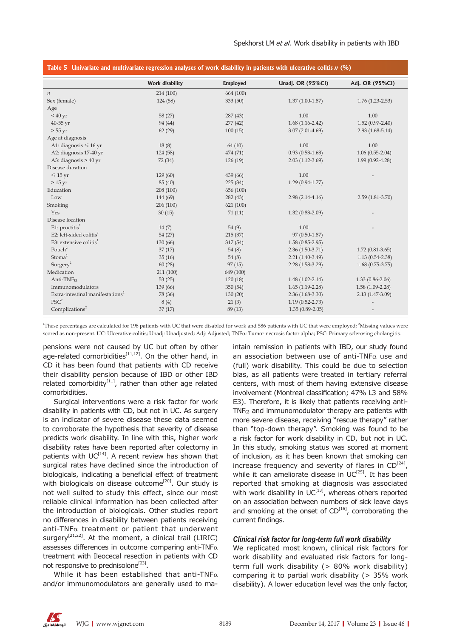| Table 5 Univariate and multivariate regression analyses of work disability in patients with ulcerative colitis n (%) |                 |                 |                     |                     |
|----------------------------------------------------------------------------------------------------------------------|-----------------|-----------------|---------------------|---------------------|
|                                                                                                                      | Work disability | <b>Employed</b> | Unadj. OR (95%CI)   | Adj. OR (95%Cl)     |
| $\it n$                                                                                                              | 214 (100)       | 664 (100)       |                     |                     |
| Sex (female)                                                                                                         | 124 (58)        | 333(50)         | $1.37(1.00-1.87)$   | $1.76(1.23 - 2.53)$ |
| Age                                                                                                                  |                 |                 |                     |                     |
| < 40 yr                                                                                                              | 58 (27)         | 287(43)         | 1.00                | 1.00                |
| 40-55 yr                                                                                                             | 94 (44)         | 277(42)         | $1.68(1.16-2.42)$   | $1.52(0.97 - 2.40)$ |
| $> 55$ yr                                                                                                            | 62(29)          | 100(15)         | $3.07(2.01-4.69)$   | $2.93(1.68-5.14)$   |
| Age at diagnosis                                                                                                     |                 |                 |                     |                     |
| A1: diagnosis $\leq 16$ yr                                                                                           | 18(8)           | 64(10)          | 1.00                | 1.00                |
| A2: diagnosis 17-40 yr                                                                                               | 124 (58)        | 474 (71)        | $0.93(0.53 - 1.63)$ | $1.06(0.55-2.04)$   |
| A3: diagnosis $> 40$ yr                                                                                              | 72 (34)         | 126(19)         | $2.03(1.12-3.69)$   | $1.99(0.92 - 4.28)$ |
| Disease duration                                                                                                     |                 |                 |                     |                     |
| $\leq 15$ yr                                                                                                         | 129(60)         | 439 (66)        | 1.00                |                     |
| $>15$ yr                                                                                                             | 85 (40)         | 225(34)         | $1.29(0.94 - 1.77)$ |                     |
| Education                                                                                                            | 208 (100)       | 656 (100)       |                     |                     |
| Low                                                                                                                  | 144 (69)        | 282(43)         | $2.98(2.14-4.16)$   | $2.59(1.81-3.70)$   |
| Smoking                                                                                                              | 206 (100)       | 621 (100)       |                     |                     |
| Yes                                                                                                                  | 30(15)          | 71(11)          | $1.32(0.83 - 2.09)$ |                     |
| Disease location                                                                                                     |                 |                 |                     |                     |
| $E1$ : proctitis <sup>1</sup>                                                                                        | 14(7)           | 54(9)           | 1.00                |                     |
| E2: left-sided colitis $1$                                                                                           | 54 (27)         | 215(37)         | 97 (0.50-1.87)      |                     |
| E3: extensive colitis $1$                                                                                            | 130 (66)        | 317 (54)        | $1.58(0.85-2.95)$   |                     |
| Pouch <sup>2</sup>                                                                                                   | 37(17)          | 54(8)           | $2.36(1.50-3.71)$   | $1.72(0.81-3.65)$   |
| Stoma <sup>2</sup>                                                                                                   | 35(16)          | 54(8)           | $2.21(1.40-3.49)$   | $1.13(0.54 - 2.38)$ |
| Surgery <sup>2</sup>                                                                                                 | 60(28)          | 97(15)          | $2.28(1.58-3.29)$   | $1.68(0.75-3.75)$   |
| Medication                                                                                                           | 211 (100)       | 649 (100)       |                     |                     |
| Anti-TNF $\alpha$                                                                                                    | 53(25)          | 120(18)         | $1.48(1.02 - 2.14)$ | $1.33(0.86 - 2.06)$ |
| Immunomodulators                                                                                                     | 139 (66)        | 350(54)         | $1.65(1.19-2.28)$   | $1.58(1.09-2.28)$   |
| Extra-intestinal manifestations <sup>2</sup>                                                                         | 78 (36)         | 130(20)         | $2.36(1.68-3.30)$   | 2.13 (1.47-3.09)    |
| $PSC^2$                                                                                                              | 8(4)            | 21(3)           | $1.19(0.52 - 2.73)$ |                     |
| Complications <sup>2</sup>                                                                                           | 37(17)          | 89 (13)         | $1.35(0.89 - 2.05)$ |                     |

<sup>1</sup>These percentages are calculated for 198 patients with UC that were disabled for work and 586 patients with UC that were employed; <sup>2</sup>Missing values were scored as non-present. UC: Ulcerative colitis; Unadj: Unadjusted; Adj: Adjusted; TNFα: Tumor necrosis factor alpha; PSC: Primary sclerosing cholangitis.

pensions were not caused by UC but often by other age-related comorbidities $[11,12]$ . On the other hand, in CD it has been found that patients with CD receive their disability pension because of IBD or other IBD related comorbidity $[11]$ , rather than other age related comorbidities.

Surgical interventions were a risk factor for work disability in patients with CD, but not in UC. As surgery is an indicator of severe disease these data seemed to corroborate the hypothesis that severity of disease predicts work disability. In line with this, higher work disability rates have been reported after colectomy in patients with  $UC^{[14]}$ . A recent review has shown that surgical rates have declined since the introduction of biologicals, indicating a beneficial effect of treatment with biologicals on disease outcome<sup>[20]</sup>. Our study is not well suited to study this effect, since our most reliable clinical information has been collected after the introduction of biologicals. Other studies report no differences in disability between patients receiving anti-TNF $\alpha$  treatment or patient that underwent surgery<sup>[21,22]</sup>. At the moment, a clinical trail (LIRIC) assesses differences in outcome comparing anti-TNF $\alpha$ treatment with Ileocecal resection in patients with CD not responsive to prednisolone<sup>[23]</sup>.

While it has been established that anti-TNF $\alpha$ and/or immunomodulators are generally used to maintain remission in patients with IBD, our study found an association between use of anti-TNF $\alpha$  use and (full) work disability. This could be due to selection bias, as all patients were treated in tertiary referral centers, with most of them having extensive disease involvement (Montreal classification; 47% L3 and 58% E3). Therefore, it is likely that patients receiving anti-TNF $\alpha$  and immunomodulator therapy are patients with more severe disease, receiving "rescue therapy" rather than "top-down therapy". Smoking was found to be a risk factor for work disability in CD, but not in UC. In this study, smoking status was scored at moment of inclusion, as it has been known that smoking can increase frequency and severity of flares in  $CD^{[24]}$ , while it can ameliorate disease in  $UC^{[25]}$ . It has been reported that smoking at diagnosis was associated with work disability in  $UC^{[13]}$ , whereas others reported on an association between numbers of sick leave days and smoking at the onset of  $CD^{[16]}$ , corroborating the current findings.

### *Clinical risk factor for long-term full work disability*

We replicated most known, clinical risk factors for work disability and evaluated risk factors for longterm full work disability (> 80% work disability) comparing it to partial work disability (> 35% work disability). A lower education level was the only factor,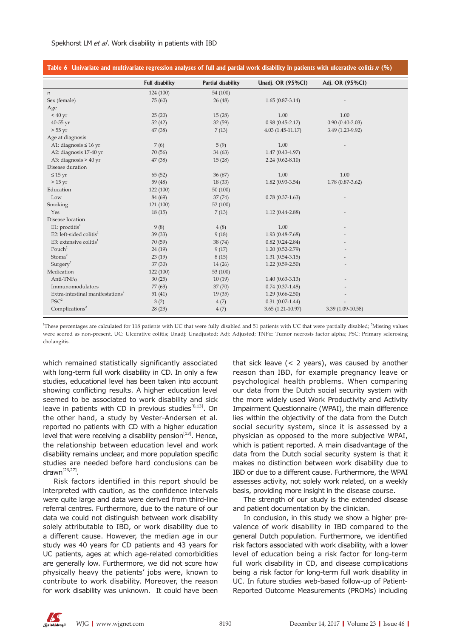| Table 6 Univariate and multivariate regression analyses of full and partial work disability in patients with ulcerative colitis $n$ (%) |                        |                    |                      |                     |
|-----------------------------------------------------------------------------------------------------------------------------------------|------------------------|--------------------|----------------------|---------------------|
|                                                                                                                                         | <b>Full disability</b> | Partial disability | Unadj. OR (95%CI)    | Adj. OR (95%Cl)     |
| $\boldsymbol{n}$                                                                                                                        | 124 (100)              | 54 (100)           |                      |                     |
| Sex (female)                                                                                                                            | 75 (60)                | 26(48)             | $1.65(0.87-3.14)$    |                     |
| Age                                                                                                                                     |                        |                    |                      |                     |
| < 40 yr                                                                                                                                 | 25(20)                 | 15(28)             | 1.00                 | 1.00                |
| 40-55 yr                                                                                                                                | 52(42)                 | 32(59)             | $0.98(0.45-2.12)$    | $0.90(0.40 - 2.03)$ |
| $> 55$ yr                                                                                                                               | 47(38)                 | 7(13)              | $4.03(1.45-11.17)$   | 3.49 (1.23-9.92)    |
| Age at diagnosis                                                                                                                        |                        |                    |                      |                     |
| A1: diagnosis $\leq 16$ yr                                                                                                              | 7(6)                   | 5(9)               | 1.00                 |                     |
| A2: diagnosis 17-40 yr                                                                                                                  | 70 (56)                | 34(63)             | $1.47(0.43-4.97)$    |                     |
| A3: diagnosis $> 40$ yr                                                                                                                 | 47 (38)                | 15(28)             | $2.24(0.62 - 8.10)$  |                     |
| Disease duration                                                                                                                        |                        |                    |                      |                     |
| $\leq 15$ yr                                                                                                                            | 65(52)                 | 36(67)             | 1.00                 | 1.00                |
| $>15$ yr                                                                                                                                | 59 (48)                | 18(33)             | $1.82(0.93-3.54)$    | 1.78 (0.87-3.62)    |
| Education                                                                                                                               | 122(100)               | 50(100)            |                      |                     |
| Low                                                                                                                                     | 84 (69)                | 37(74)             | $0.78(0.37-1.63)$    |                     |
| Smoking                                                                                                                                 | 121(100)               | 52(100)            |                      |                     |
| Yes                                                                                                                                     | 18(15)                 | 7(13)              | $1.12(0.44 - 2.88)$  |                     |
| Disease location                                                                                                                        |                        |                    |                      |                     |
| $E1$ : proctitis <sup>1</sup>                                                                                                           | 9(8)                   | 4(8)               | 1.00                 |                     |
| E2: left-sided colitis $1$                                                                                                              | 39 (33)                | 9(18)              | $1.93(0.48 - 7.68)$  |                     |
| E3: extensive colitis $1$                                                                                                               | 70 (59)                | 38 (74)            | $0.82(0.24 - 2.84)$  |                     |
| Pouch <sup>2</sup>                                                                                                                      | 24(19)                 | 9(17)              | $1.20(0.52 - 2.79)$  |                     |
| Stoma <sup>2</sup>                                                                                                                      | 23(19)                 | 8(15)              | $1.31(0.54-3.15)$    |                     |
| Surgery <sup>2</sup>                                                                                                                    | 37(30)                 | 14(26)             | $1.22(0.59-2.50)$    |                     |
| Medication                                                                                                                              | 122(100)               | 53 (100)           |                      |                     |
| Anti-TNF $\alpha$                                                                                                                       | 30(25)                 | 10(19)             | $1.40(0.63 - 3.13)$  |                     |
| Immunomodulators                                                                                                                        | 77 (63)                | 37(70)             | $0.74(0.37-1.48)$    |                     |
| Extra-intestinal manifestations <sup>2</sup>                                                                                            | 51(41)                 | 19(35)             | $1.29(0.66 - 2.50)$  |                     |
| PSC <sup>2</sup>                                                                                                                        | 3(2)                   | 4(7)               | $0.31(0.07-1.44)$    |                     |
| Complications <sup>2</sup>                                                                                                              | 28(23)                 | 4(7)               | $3.65(1.21 - 10.97)$ | 3.39 (1.09-10.58)   |

<sup>1</sup>These percentages are calculated for 118 patients with UC that were fully disabled and 51 patients with UC that were partially disabled; <sup>2</sup>Missing values were scored as non-present. UC: Ulcerative colitis; Unadjusted; Adj: Adjusted; TNFα: Tumor necrosis factor alpha; PSC: Primary sclerosing cholangitis.

which remained statistically significantly associated with long-term full work disability in CD. In only a few studies, educational level has been taken into account showing conflicting results. A higher education level seemed to be associated to work disability and sick leave in patients with CD in previous studies $[8,13]$ . On the other hand, a study by Vester-Andersen et al. reported no patients with CD with a higher education level that were receiving a disability pension<sup>[13]</sup>. Hence, the relationship between education level and work disability remains unclear, and more population specific studies are needed before hard conclusions can be  $d$ rawn $[26, 27]$ .

Risk factors identified in this report should be interpreted with caution, as the confidence intervals were quite large and data were derived from third-line referral centres. Furthermore, due to the nature of our data we could not distinguish between work disability solely attributable to IBD, or work disability due to a different cause. However, the median age in our study was 40 years for CD patients and 43 years for UC patients, ages at which age-related comorbidities are generally low. Furthermore, we did not score how physically heavy the patients' jobs were, known to contribute to work disability. Moreover, the reason for work disability was unknown. It could have been

that sick leave  $(< 2$  years), was caused by another reason than IBD, for example pregnancy leave or psychological health problems. When comparing our data from the Dutch social security system with the more widely used Work Productivity and Activity Impairment Questionnaire (WPAI), the main difference lies within the objectivity of the data from the Dutch social security system, since it is assessed by a physician as opposed to the more subjective WPAI, which is patient reported. A main disadvantage of the data from the Dutch social security system is that it makes no distinction between work disability due to IBD or due to a different cause. Furthermore, the WPAI assesses activity, not solely work related, on a weekly basis, providing more insight in the disease course.

The strength of our study is the extended disease and patient documentation by the clinician.

In conclusion, in this study we show a higher prevalence of work disability in IBD compared to the general Dutch population. Furthermore, we identified risk factors associated with work disability, with a lower level of education being a risk factor for long-term full work disability in CD, and disease complications being a risk factor for long-term full work disability in UC. In future studies web-based follow-up of Patient-Reported Outcome Measurements (PROMs) including

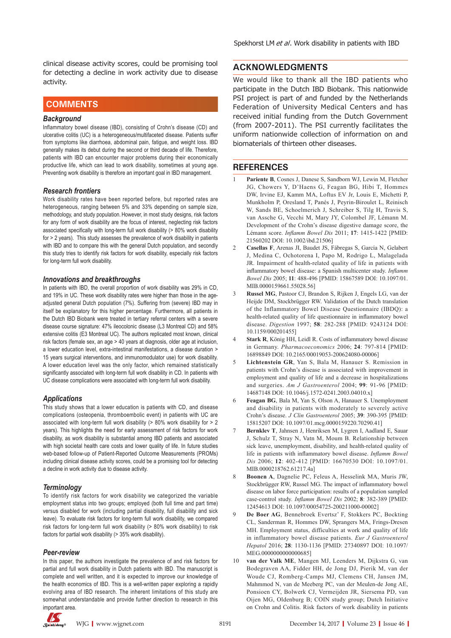clinical disease activity scores, could be promising tool for detecting a decline in work activity due to disease activity.

# **COMMENTS COMMENTS**

### *Background*

Inflammatory bowel disease (IBD), consisting of Crohn's disease (CD) and ulcerative colitis (UC) is a heterogeneous/multifaceted disease. Patients suffer from symptoms like diarrhoea, abdominal pain, fatigue, and weight loss. IBD generally makes its debut during the second or third decade of life. Therefore, patients with IBD can encounter major problems during their economically productive life, which can lead to work disability, sometimes at young age. Preventing work disability is therefore an important goal in IBD management.

### *Research frontiers*

Work disability rates have been reported before, but reported rates are heterogeneous, ranging between 5% and 33% depending on sample size, methodology, and study population.However, in most study designs, risk factors for any form of work disability are the focus of interest, neglecting risk factors associated specifically with long-term full work disability (> 80% work disability for > 2 years). This study assesses the prevalence of work disability in patients with IBD and to compare this with the general Dutch population, and secondly this study tries to identify risk factors for work disability, especially risk factors for long-term full work disability.

#### *Innovations and breakthroughs*

In patients with IBD, the overall proportion of work disability was 29% in CD, and 19% in UC. These work disability rates were higher than those in the ageadjusted general Dutch population (7%). Suffering from (severe) IBD may in itself be explanatory for this higher percentage. Furthermore, all patients in the Dutch IBD Biobank were treated in tertiary referral centers with a severe disease course signature: 47% ileocolonic disease (L3 Montreal CD) and 58% extensive colitis (E3 Montreal UC). The authors replicated most known, clinical risk factors (female sex, an age > 40 years at diagnosis, older age at inclusion, a lower education level, extra-intestinal manifestations, a disease duration > 15 years surgical interventions, and immunomodulator use) for work disability. A lower education level was the only factor, which remained statistically significantly associated with long-term full work disability in CD. In patients with UC disease complications were associated with long-term full work disability.

#### *Applications*

This study shows that a lower education is patients with CD, and disease complications (osteopenia, thromboembolic event) in patients with UC are associated with long-term full work disability (> 80% work disability for > 2 years). This highlights the need for early assessment of risk factors for work disability, as work disability is substantial among IBD patients and associated with high societal health care costs and lower quality of life. In future studies web-based follow-up of Patient-Reported Outcome Measurements (PROMs) including clinical disease activity scores, could be a promising tool for detecting a decline in work activity due to disease activity.

### *Terminology*

To identify risk factors for work disability we categorized the variable employment status into two groups; employed (both full time and part time) versus disabled for work (including partial disability, full disability and sick leave). To evaluate risk factors for long-term full work disability, we compared risk factors for long-term full work disability (> 80% work disability) to risk factors for partial work disability (> 35% work disability).

### *Peer-review*

In this paper, the authors investigate the prevalence of and risk factors for partial and full work disability in Dutch patients with IBD. The manuscript is complete and well written, and it is expected to improve our knowledge of the health economics of IBD. This is a well-written paper exploring a rapidly evolving area of IBD research. The inherent limitations of this study are somewhat understandable and provide further direction to research in this important area.

### **ACKNOWLEDGMENTS**

We would like to thank all the IBD patients who participate in the Dutch IBD Biobank. This nationwide PSI project is part of and funded by the Netherlands Federation of University Medical Centers and has received initial funding from the Dutch Government (from 2007-2011). The PSI currently facilitates the uniform nationwide collection of information on and biomaterials of thirteen other diseases.

### **REFERENCES**

- Pariente B, Cosnes J, Danese S, Sandborn WJ, Lewin M, Fletcher JG, Chowers Y, D'Haens G, Feagan BG, Hibi T, Hommes DW, Irvine EJ, Kamm MA, Loftus EV Jr, Louis E, Michetti P, Munkholm P, Oresland T, Panés J, Peyrin-Biroulet L, Reinisch W, Sands BE, Schoelmerich J, Schreiber S, Tilg H, Travis S, van Assche G, Vecchi M, Mary JY, Colombel JF, Lémann M. Development of the Crohn's disease digestive damage score, the Lémann score. *Inflamm Bowel Dis* 2011; **17**: 1415-1422 [PMID: 21560202 DOI: 10.1002/ibd.21506]
- 2 **Casellas F**, Arenas JI, Baudet JS, Fábregas S, García N, Gelabert J, Medina C, Ochotorena I, Papo M, Rodrigo L, Malagelada JR. Impairment of health-related quality of life in patients with inflammatory bowel disease: a Spanish multicenter study. *Inflamm Bowel Dis* 2005; **11**: 488-496 [PMID: 15867589 DOI: 10.1097/01. MIB.0000159661.55028.56]
- 3 **Russel MG**, Pastoor CJ, Brandon S, Rijken J, Engels LG, van der Heijde DM, Stockbrügger RW. Validation of the Dutch translation of the Inflammatory Bowel Disease Questionnaire (IBDQ): a health-related quality of life questionnaire in inflammatory bowel disease. *Digestion* 1997; **58**: 282-288 [PMID: 9243124 DOI: 10.1159/000201455]
- Stark R, König HH, Leidl R. Costs of inflammatory bowel disease in Germany. *Pharmacoeconomics* 2006; **24**: 797-814 [PMID: 16898849 DOI: 10.2165/00019053-200624080-00006]
- 5 **Lichtenstein GR**, Yan S, Bala M, Hanauer S. Remission in patients with Crohn's disease is associated with improvement in employment and quality of life and a decrease in hospitalizations and surgeries. *Am J Gastroenterol* 2004; **99**: 91-96 [PMID: 14687148 DOI: 10.1046/j.1572-0241.2003.04010.x]
- 6 **Feagan BG**, Bala M, Yan S, Olson A, Hanauer S. Unemployment and disability in patients with moderately to severely active Crohn's disease. *J Clin Gastroenterol* 2005; **39**: 390-395 [PMID: 15815207 DOI: 10.1097/01.mcg.0000159220.70290.41]
- 7 **Bernklev T**, Jahnsen J, Henriksen M, Lygren I, Aadland E, Sauar J, Schulz T, Stray N, Vatn M, Moum B. Relationship between sick leave, unemployment, disability, and health-related quality of life in patients with inflammatory bowel disease. *Inflamm Bowel Dis* 2006; **12**: 402-412 [PMID: 16670530 DOI: 10.1097/01. MIB.0000218762.61217.4a]
- 8 **Boonen A**, Dagnelie PC, Feleus A, Hesselink MA, Muris JW, Stockbrügger RW, Russel MG. The impact of inflammatory bowel disease on labor force participation: results of a population sampled case-control study. *Inflamm Bowel Dis* 2002; **8**: 382-389 [PMID: 12454613 DOI: 10.1097/00054725-200211000-00002]
- 9 **De Boer AG**, Bennebroek Evertsz' F, Stokkers PC, Bockting CL, Sanderman R, Hommes DW, Sprangers MA, Frings-Dresen MH. Employment status, difficulties at work and quality of life in inflammatory bowel disease patients. *Eur J Gastroenterol Hepatol* 2016; **28**: 1130-1136 [PMID: 27340897 DOI: 10.1097/ MEG.0000000000000685]
- van der Valk ME, Mangen MJ, Leenders M, Dijkstra G, van Bodegraven AA, Fidder HH, de Jong DJ, Pierik M, van der Woude CJ, Romberg-Camps MJ, Clemens CH, Jansen JM, Mahmmod N, van de Meeberg PC, van der Meulen-de Jong AE, Ponsioen CY, Bolwerk CJ, Vermeijden JR, Siersema PD, van Oijen MG, Oldenburg B; COIN study group; Dutch Initiative on Crohn and Colitis. Risk factors of work disability in patients